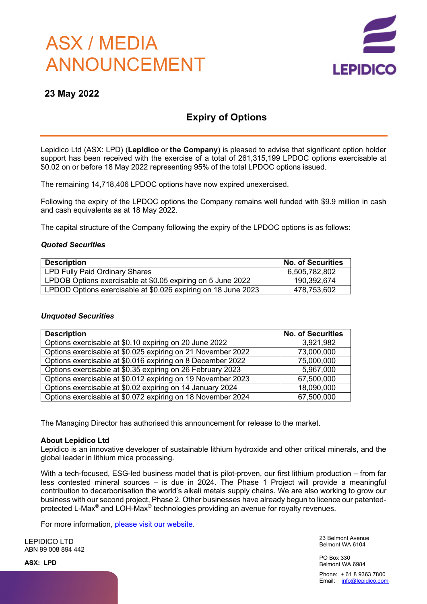# ASX / MEDIA ANNOUNCEMENT



### **23 May 2022**

## **Expiry of Options**

Lepidico Ltd (ASX: LPD) (**Lepidico** or **the Company**) is pleased to advise that significant option holder support has been received with the exercise of a total of 261,315,199 LPDOC options exercisable at \$0.02 on or before 18 May 2022 representing 95% of the total LPDOC options issued.

The remaining 14,718,406 LPDOC options have now expired unexercised.

Following the expiry of the LPDOC options the Company remains well funded with \$9.9 million in cash and cash equivalents as at 18 May 2022.

The capital structure of the Company following the expiry of the LPDOC options is as follows:

#### *Quoted Securities*

| <b>Description</b>                                            | No. of Securities |
|---------------------------------------------------------------|-------------------|
| LPD Fully Paid Ordinary Shares                                | 6,505,782,802     |
| LPDOB Options exercisable at \$0.05 expiring on 5 June 2022   | 190,392,674       |
| LPDOD Options exercisable at \$0.026 expiring on 18 June 2023 | 478,753,602       |

#### *Unquoted Securities*

| <b>Description</b>                                          | <b>No. of Securities</b> |
|-------------------------------------------------------------|--------------------------|
| Options exercisable at \$0.10 expiring on 20 June 2022      | 3,921,982                |
| Options exercisable at \$0.025 expiring on 21 November 2022 | 73,000,000               |
| Options exercisable at \$0.016 expiring on 8 December 2022  | 75,000,000               |
| Options exercisable at \$0.35 expiring on 26 February 2023  | 5,967,000                |
| Options exercisable at \$0.012 expiring on 19 November 2023 | 67,500,000               |
| Options exercisable at \$0.02 expiring on 14 January 2024   | 18,090,000               |
| Options exercisable at \$0.072 expiring on 18 November 2024 | 67,500,000               |

The Managing Director has authorised this announcement for release to the market.

#### **About Lepidico Ltd**

Lepidico is an innovative developer of sustainable lithium hydroxide and other critical minerals, and the global leader in lithium mica processing.

With a tech-focused, ESG-led business model that is pilot-proven, our first lithium production – from far less contested mineral sources – is due in 2024. The Phase 1 Project will provide a meaningful contribution to decarbonisation the world's alkali metals supply chains. We are also working to grow our business with our second project, Phase 2. Other businesses have already begun to licence our patentedprotected L-Max® and LOH-Max® technologies providing an avenue for royalty revenues.

For more information, please visit our website.

LEPIDICO LTD ABN 99 008 894 442

**ASX: LPD**

23 Belmont Avenue Belmont WA 6104

PO Box 330 Belmont WA 6984

Phone: + 61 8 9363 7800 Email: info@lepidico.com